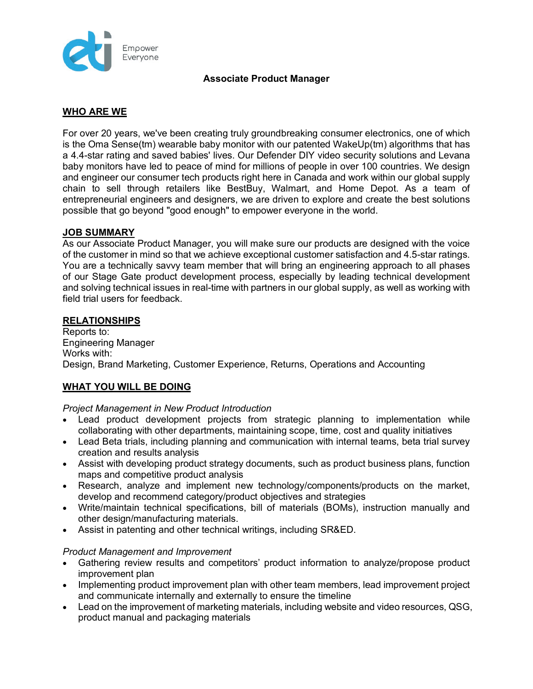

# **Associate Product Manager**

# **WHO ARE WE**

For over 20 years, we've been creating truly groundbreaking consumer electronics, one of which is the Oma Sense(tm) wearable baby monitor with our patented WakeUp(tm) algorithms that has a 4.4-star rating and saved babies' lives. Our Defender DIY video security solutions and Levana baby monitors have led to peace of mind for millions of people in over 100 countries. We design and engineer our consumer tech products right here in Canada and work within our global supply chain to sell through retailers like BestBuy, Walmart, and Home Depot. As a team of entrepreneurial engineers and designers, we are driven to explore and create the best solutions possible that go beyond "good enough" to empower everyone in the world.

# **JOB SUMMARY**

As our Associate Product Manager, you will make sure our products are designed with the voice of the customer in mind so that we achieve exceptional customer satisfaction and 4.5-star ratings. You are a technically savvy team member that will bring an engineering approach to all phases of our Stage Gate product development process, especially by leading technical development and solving technical issues in real-time with partners in our global supply, as well as working with field trial users for feedback.

## **RELATIONSHIPS**

Reports to: Engineering Manager Works with: Design, Brand Marketing, Customer Experience, Returns, Operations and Accounting

# **WHAT YOU WILL BE DOING**

## *Project Management in New Product Introduction*

- Lead product development projects from strategic planning to implementation while collaborating with other departments, maintaining scope, time, cost and quality initiatives
- Lead Beta trials, including planning and communication with internal teams, beta trial survey creation and results analysis
- Assist with developing product strategy documents, such as product business plans, function maps and competitive product analysis
- Research, analyze and implement new technology/components/products on the market, develop and recommend category/product objectives and strategies
- Write/maintain technical specifications, bill of materials (BOMs), instruction manually and other design/manufacturing materials.
- Assist in patenting and other technical writings, including SR&ED.

#### *Product Management and Improvement*

- Gathering review results and competitors' product information to analyze/propose product improvement plan
- Implementing product improvement plan with other team members, lead improvement project and communicate internally and externally to ensure the timeline
- Lead on the improvement of marketing materials, including website and video resources, QSG, product manual and packaging materials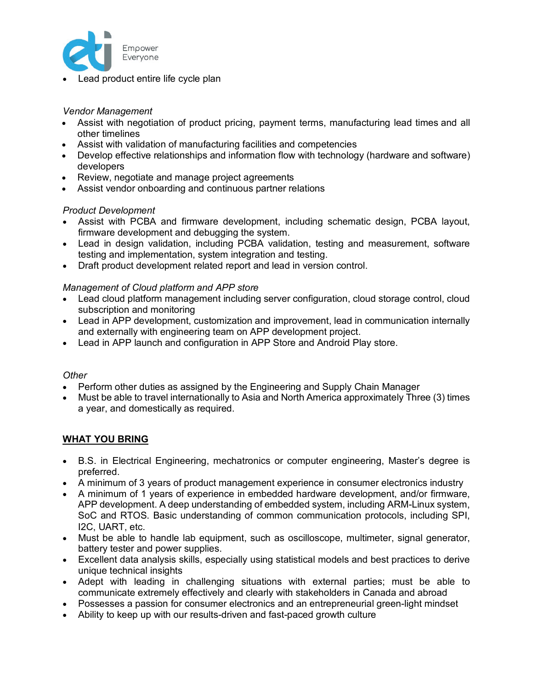

• Lead product entire life cycle plan

### *Vendor Management*

- Assist with negotiation of product pricing, payment terms, manufacturing lead times and all other timelines
- Assist with validation of manufacturing facilities and competencies
- Develop effective relationships and information flow with technology (hardware and software) developers
- Review, negotiate and manage project agreements
- Assist vendor onboarding and continuous partner relations

### *Product Development*

- Assist with PCBA and firmware development, including schematic design, PCBA layout, firmware development and debugging the system.
- Lead in design validation, including PCBA validation, testing and measurement, software testing and implementation, system integration and testing.
- Draft product development related report and lead in version control.

### *Management of Cloud platform and APP store*

- Lead cloud platform management including server configuration, cloud storage control, cloud subscription and monitoring
- Lead in APP development, customization and improvement, lead in communication internally and externally with engineering team on APP development project.
- Lead in APP launch and configuration in APP Store and Android Play store.

#### *Other*

- Perform other duties as assigned by the Engineering and Supply Chain Manager
- Must be able to travel internationally to Asia and North America approximately Three (3) times a year, and domestically as required.

#### **WHAT YOU BRING**

- B.S. in Electrical Engineering, mechatronics or computer engineering, Master's degree is preferred.
- A minimum of 3 years of product management experience in consumer electronics industry
- A minimum of 1 years of experience in embedded hardware development, and/or firmware, APP development. A deep understanding of embedded system, including ARM-Linux system, SoC and RTOS. Basic understanding of common communication protocols, including SPI, I2C, UART, etc.
- Must be able to handle lab equipment, such as oscilloscope, multimeter, signal generator, battery tester and power supplies.
- Excellent data analysis skills, especially using statistical models and best practices to derive unique technical insights
- Adept with leading in challenging situations with external parties; must be able to communicate extremely effectively and clearly with stakeholders in Canada and abroad
- Possesses a passion for consumer electronics and an entrepreneurial green-light mindset
- Ability to keep up with our results-driven and fast-paced growth culture